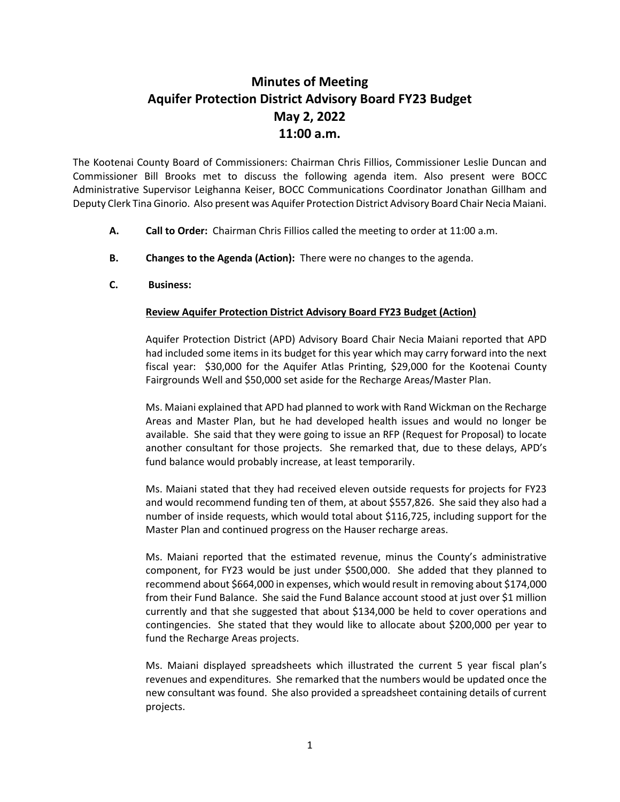## **Minutes of Meeting Aquifer Protection District Advisory Board FY23 Budget May 2, 2022 11:00 a.m.**

The Kootenai County Board of Commissioners: Chairman Chris Fillios, Commissioner Leslie Duncan and Commissioner Bill Brooks met to discuss the following agenda item. Also present were BOCC Administrative Supervisor Leighanna Keiser, BOCC Communications Coordinator Jonathan Gillham and Deputy Clerk Tina Ginorio. Also present was Aquifer Protection District Advisory Board Chair Necia Maiani.

- **A. Call to Order:** Chairman Chris Fillios called the meeting to order at 11:00 a.m.
- **B. Changes to the Agenda (Action):** There were no changes to the agenda.
- **C. Business:**

## **Review Aquifer Protection District Advisory Board FY23 Budget (Action)**

Aquifer Protection District (APD) Advisory Board Chair Necia Maiani reported that APD had included some items in its budget for this year which may carry forward into the next fiscal year: \$30,000 for the Aquifer Atlas Printing, \$29,000 for the Kootenai County Fairgrounds Well and \$50,000 set aside for the Recharge Areas/Master Plan.

Ms. Maiani explained that APD had planned to work with Rand Wickman on the Recharge Areas and Master Plan, but he had developed health issues and would no longer be available. She said that they were going to issue an RFP (Request for Proposal) to locate another consultant for those projects. She remarked that, due to these delays, APD's fund balance would probably increase, at least temporarily.

Ms. Maiani stated that they had received eleven outside requests for projects for FY23 and would recommend funding ten of them, at about \$557,826. She said they also had a number of inside requests, which would total about \$116,725, including support for the Master Plan and continued progress on the Hauser recharge areas.

Ms. Maiani reported that the estimated revenue, minus the County's administrative component, for FY23 would be just under \$500,000. She added that they planned to recommend about \$664,000 in expenses, which would result in removing about \$174,000 from their Fund Balance. She said the Fund Balance account stood at just over \$1 million currently and that she suggested that about \$134,000 be held to cover operations and contingencies. She stated that they would like to allocate about \$200,000 per year to fund the Recharge Areas projects.

Ms. Maiani displayed spreadsheets which illustrated the current 5 year fiscal plan's revenues and expenditures. She remarked that the numbers would be updated once the new consultant was found. She also provided a spreadsheet containing details of current projects.